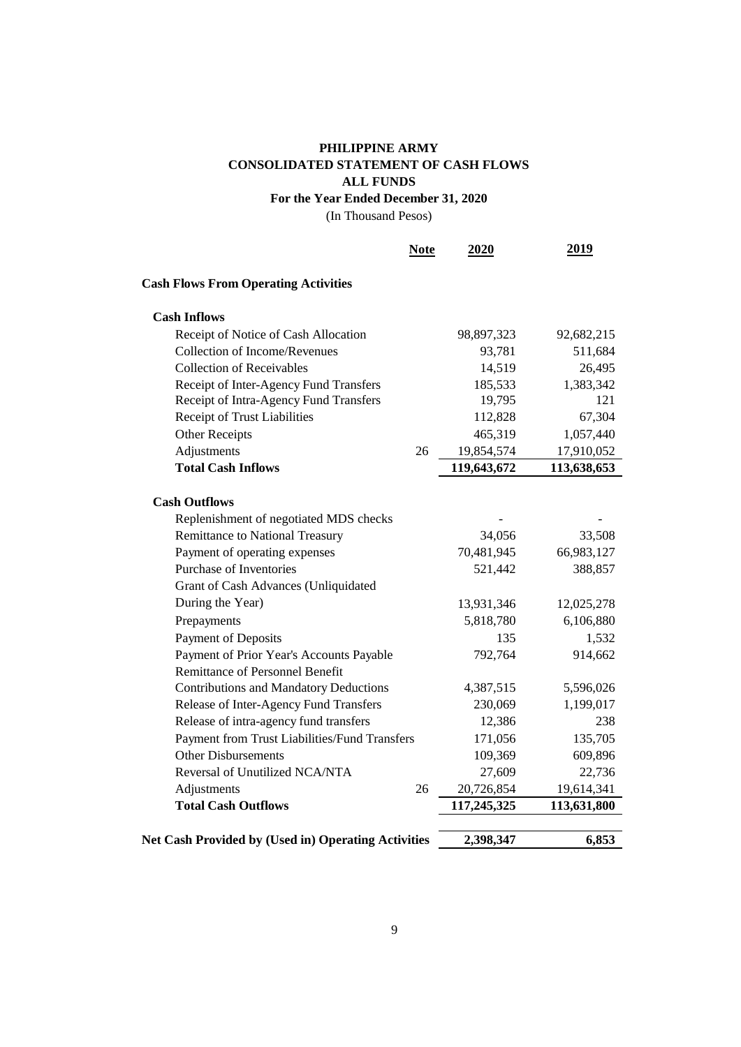## **For the Year Ended December 31, 2020 PHILIPPINE ARMY CONSOLIDATED STATEMENT OF CASH FLOWS ALL FUNDS**

(In Thousand Pesos)

|                                                     | <b>Note</b> | 2020        | 2019        |
|-----------------------------------------------------|-------------|-------------|-------------|
| <b>Cash Flows From Operating Activities</b>         |             |             |             |
| <b>Cash Inflows</b>                                 |             |             |             |
| Receipt of Notice of Cash Allocation                |             | 98,897,323  | 92,682,215  |
| <b>Collection of Income/Revenues</b>                |             | 93,781      | 511,684     |
| <b>Collection of Receivables</b>                    |             | 14,519      | 26,495      |
| Receipt of Inter-Agency Fund Transfers              |             | 185,533     | 1,383,342   |
| Receipt of Intra-Agency Fund Transfers              |             | 19,795      | 121         |
| Receipt of Trust Liabilities                        |             | 112,828     | 67,304      |
| <b>Other Receipts</b>                               |             | 465,319     | 1,057,440   |
| Adjustments                                         | 26          | 19,854,574  | 17,910,052  |
| <b>Total Cash Inflows</b>                           |             | 119,643,672 | 113,638,653 |
|                                                     |             |             |             |
| <b>Cash Outflows</b>                                |             |             |             |
| Replenishment of negotiated MDS checks              |             |             |             |
| Remittance to National Treasury                     |             | 34,056      | 33,508      |
| Payment of operating expenses                       |             | 70,481,945  | 66,983,127  |
| Purchase of Inventories                             |             | 521,442     | 388,857     |
| Grant of Cash Advances (Unliquidated                |             |             |             |
| During the Year)                                    |             | 13,931,346  | 12,025,278  |
| Prepayments                                         |             | 5,818,780   | 6,106,880   |
| Payment of Deposits                                 |             | 135         | 1,532       |
| Payment of Prior Year's Accounts Payable            |             | 792,764     | 914,662     |
| <b>Remittance of Personnel Benefit</b>              |             |             |             |
| <b>Contributions and Mandatory Deductions</b>       |             | 4,387,515   | 5,596,026   |
| Release of Inter-Agency Fund Transfers              |             | 230,069     | 1,199,017   |
| Release of intra-agency fund transfers              |             | 12,386      | 238         |
| Payment from Trust Liabilities/Fund Transfers       |             | 171,056     | 135,705     |
| <b>Other Disbursements</b>                          |             | 109,369     | 609,896     |
| Reversal of Unutilized NCA/NTA                      |             | 27,609      | 22,736      |
| Adjustments                                         | 26          | 20,726,854  | 19,614,341  |
| <b>Total Cash Outflows</b>                          |             | 117,245,325 | 113,631,800 |
|                                                     |             |             |             |
| Net Cash Provided by (Used in) Operating Activities |             | 2,398,347   | 6,853       |